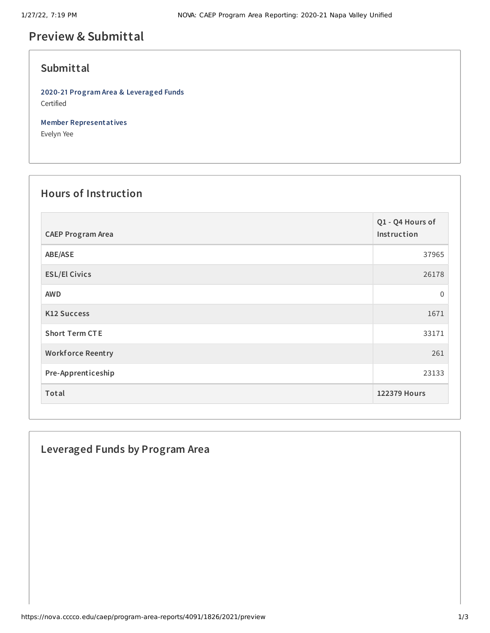# **Preview & Submittal**

### **Submittal**

**2020-21 Program Area & Leveraged Funds** Certified

**Member Representatives**

Evelyn Yee

## **Hours of Instruction**

| <b>CAEP Program Area</b> | Q1 - Q4 Hours of<br>Instruction |
|--------------------------|---------------------------------|
| ABE/ASE                  | 37965                           |
| <b>ESL/El Civics</b>     | 26178                           |
| <b>AWD</b>               | $\mathbf 0$                     |
| <b>K12 Success</b>       | 1671                            |
| <b>Short Term CTE</b>    | 33171                           |
| <b>Workforce Reentry</b> | 261                             |
| Pre-Apprenticeship       | 23133                           |
| Total                    | <b>122379 Hours</b>             |

### **Leveraged Funds by Program Area**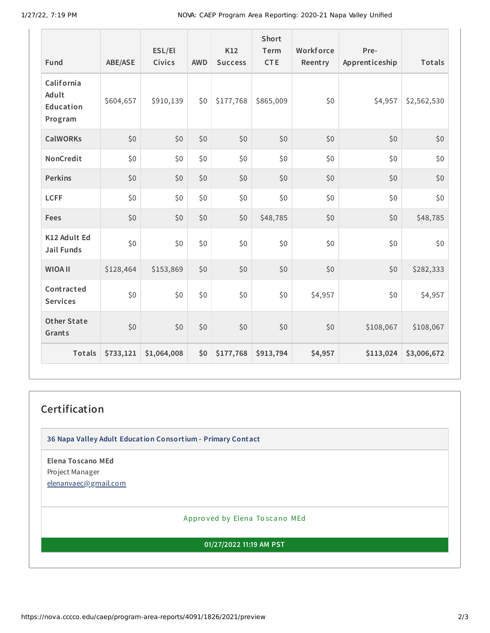| Fund                                        | ABE/ASE   | ESL/El<br>Civics | <b>AWD</b> | K12<br><b>Success</b> | <b>Short</b><br>Term<br><b>CTE</b> | Workforce<br>Reentry | Pre-<br>Apprenticeship | Totals      |
|---------------------------------------------|-----------|------------------|------------|-----------------------|------------------------------------|----------------------|------------------------|-------------|
| California<br>Adult<br>Education<br>Program | \$604,657 | \$910,139        | \$0        | \$177,768             | \$865,009                          | \$0                  | \$4,957                | \$2,562,530 |
| <b>CalWORKs</b>                             | \$0       | \$0              | \$0        | \$0                   | \$0                                | \$0                  | \$0                    | \$0         |
| NonCredit                                   | \$0       | \$0              | \$0        | \$0                   | \$0                                | \$0                  | \$0                    | \$0         |
| <b>Perkins</b>                              | \$0       | \$0              | \$0        | \$0                   | \$0                                | \$0                  | \$0                    | \$0         |
| <b>LCFF</b>                                 | \$0       | \$0              | \$0        | \$0                   | \$0                                | \$0                  | \$0                    | \$0         |
| Fees                                        | \$0       | \$0              | \$0        | \$0                   | \$48,785                           | \$0                  | \$0                    | \$48,785    |
| K12 Adult Ed<br><b>Jail Funds</b>           | \$0       | \$0              | \$0        | \$0                   | \$0                                | \$0                  | \$0                    | \$0         |
| <b>WIOA II</b>                              | \$128,464 | \$153,869        | \$0        | \$0                   | \$0                                | \$0                  | \$0                    | \$282,333   |
| Contracted<br><b>Services</b>               | \$0       | \$0\$            | \$0        | \$0                   | \$0                                | \$4,957              | \$0                    | \$4,957     |
| <b>Other State</b><br>Grants                | \$0       | \$0              | \$0        | \$0                   | \$0                                | \$0                  | \$108,067              | \$108,067   |
| Totals                                      | \$733,121 | \$1,064,008      | \$0        | \$177,768             | \$913,794                          | \$4,957              | \$113,024              | \$3,006,672 |

### **Certification**

**36 Napa Valley Adult Education Consortium - Primary Contact**

**Elena Toscano MEd** Project Manager [elenanvaec@gmail.com](mailto:elenanvaec@gmail.com)

Appro ved by Elena To scano MEd

**01/27/2022 11:19 AM PST**